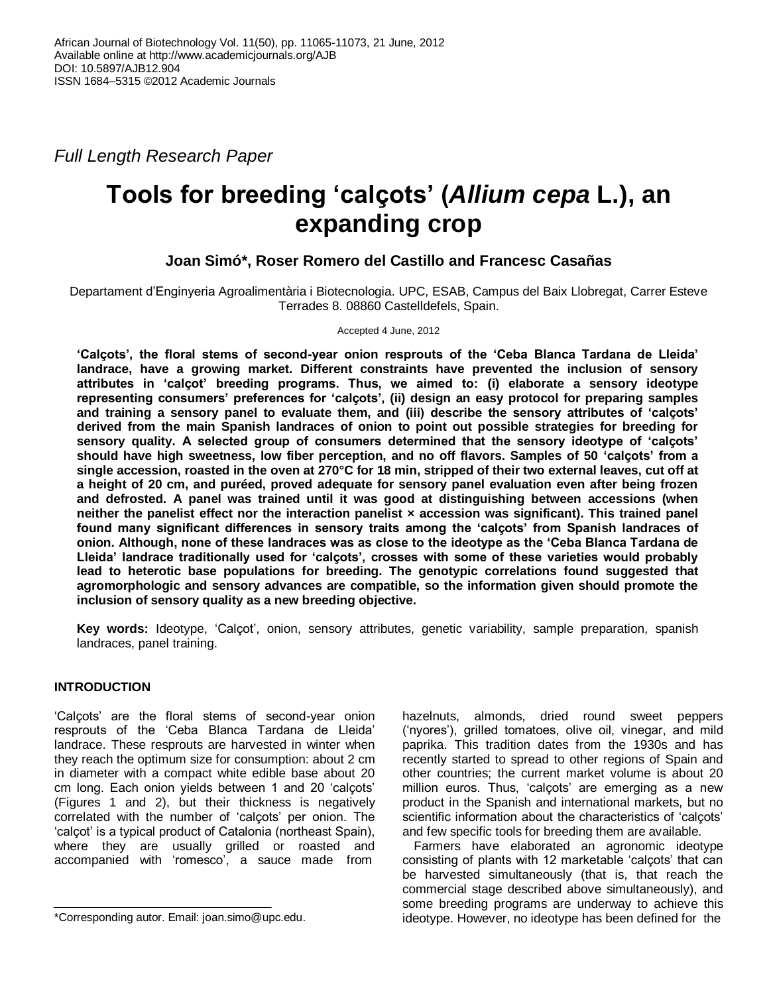*Full Length Research Paper*

# **Tools for breeding 'calçots' (***Allium cepa* **L.), an expanding crop**

# **Joan Simó\*, Roser Romero del Castillo and Francesc Casañas**

Departament d'Enginyeria Agroalimentària i Biotecnologia. UPC, ESAB, Campus del Baix Llobregat, Carrer Esteve Terrades 8. 08860 Castelldefels, Spain.

Accepted 4 June, 2012

**'Calçots', the floral stems of second-year onion resprouts of the 'Ceba Blanca Tardana de Lleida' landrace, have a growing market. Different constraints have prevented the inclusion of sensory attributes in 'calçot' breeding programs. Thus, we aimed to: (i) elaborate a sensory ideotype representing consumers' preferences for 'calçots', (ii) design an easy protocol for preparing samples and training a sensory panel to evaluate them, and (iii) describe the sensory attributes of 'calçots' derived from the main Spanish landraces of onion to point out possible strategies for breeding for sensory quality. A selected group of consumers determined that the sensory ideotype of 'calçots' should have high sweetness, low fiber perception, and no off flavors. Samples of 50 'calçots' from a single accession, roasted in the oven at 270°C for 18 min, stripped of their two external leaves, cut off at a height of 20 cm, and puréed, proved adequate for sensory panel evaluation even after being frozen and defrosted. A panel was trained until it was good at distinguishing between accessions (when neither the panelist effect nor the interaction panelist × accession was significant). This trained panel found many significant differences in sensory traits among the 'calçots' from Spanish landraces of onion. Although, none of these landraces was as close to the ideotype as the 'Ceba Blanca Tardana de Lleida' landrace traditionally used for 'calçots', crosses with some of these varieties would probably lead to heterotic base populations for breeding. The genotypic correlations found suggested that agromorphologic and sensory advances are compatible, so the information given should promote the inclusion of sensory quality as a new breeding objective.**

**Key words:** Ideotype, 'Calçot', onion, sensory attributes, genetic variability, sample preparation, spanish landraces, panel training.

# **INTRODUCTION**

'Calçots' are the floral stems of second-year onion resprouts of the 'Ceba Blanca Tardana de Lleida' landrace. These resprouts are harvested in winter when they reach the optimum size for consumption: about 2 cm in diameter with a compact white edible base about 20 cm long. Each onion yields between 1 and 20 'calçots' (Figures 1 and 2), but their thickness is negatively correlated with the number of 'calçots' per onion. The 'calçot' is a typical product of Catalonia (northeast Spain), where they are usually grilled or roasted and accompanied with 'romesco', a sauce made from

hazelnuts, almonds, dried round sweet peppers ('nyores'), grilled tomatoes, olive oil, vinegar, and mild paprika. This tradition dates from the 1930s and has recently started to spread to other regions of Spain and other countries; the current market volume is about 20 million euros. Thus, 'calçots' are emerging as a new product in the Spanish and international markets, but no scientific information about the characteristics of 'calçots' and few specific tools for breeding them are available.

Farmers have elaborated an agronomic ideotype consisting of plants with 12 marketable 'calçots' that can be harvested simultaneously (that is, that reach the commercial stage described above simultaneously), and some breeding programs are underway to achieve this ideotype. However, no ideotype has been defined for the

<sup>\*</sup>Corresponding autor. Email: joan.simo@upc.edu.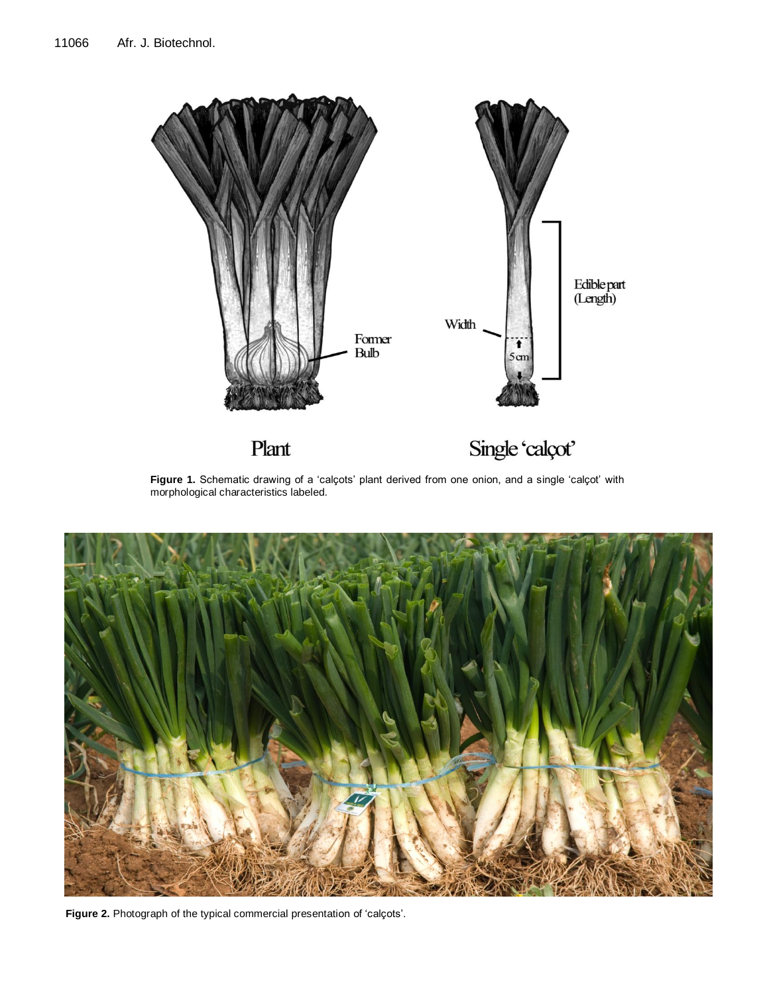

Figure 1. Schematic drawing of a 'calçots' plant derived from one onion, and a single 'calçot' with morphological characteristics labeled.



**Figure 2.** Photograph of the typical commercial presentation of 'calçots'.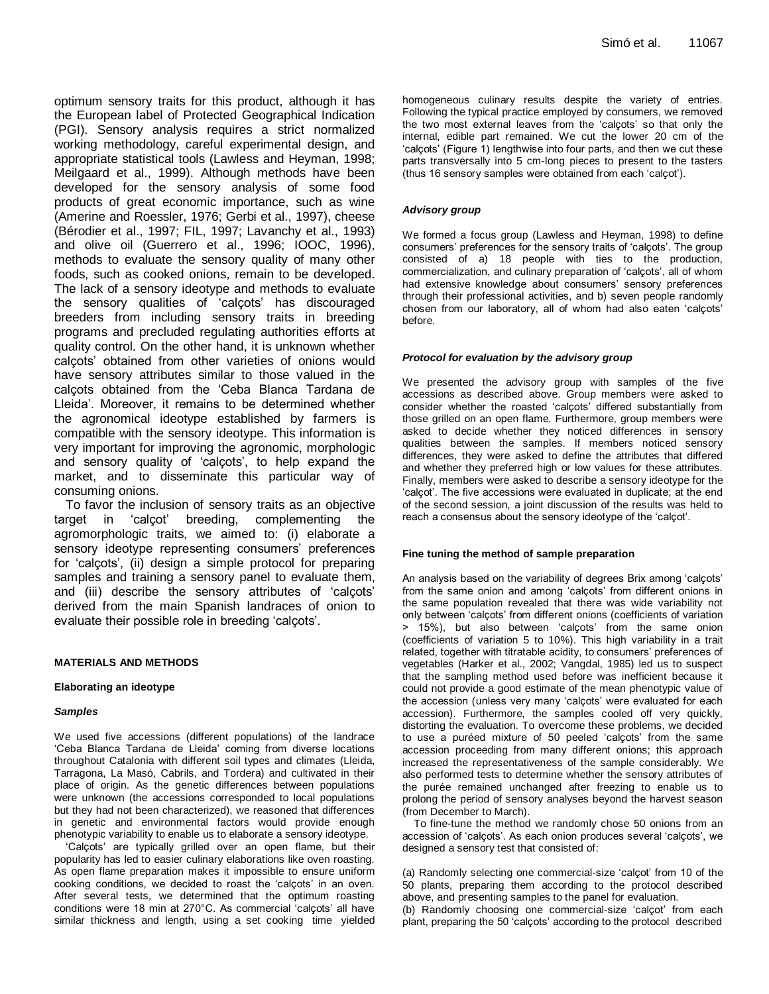optimum sensory traits for this product, although it has the European label of Protected Geographical Indication (PGI). Sensory analysis requires a strict normalized working methodology, careful experimental design, and appropriate statistical tools (Lawless and Heyman, 1998; Meilgaard et al., 1999). Although methods have been developed for the sensory analysis of some food products of great economic importance, such as wine (Amerine and Roessler, 1976; Gerbi et al., 1997), cheese (Bérodier et al., 1997; FIL, 1997; Lavanchy et al., 1993) and olive oil (Guerrero et al., 1996; IOOC, 1996), methods to evaluate the sensory quality of many other foods, such as cooked onions, remain to be developed. The lack of a sensory ideotype and methods to evaluate the sensory qualities of 'calçots' has discouraged breeders from including sensory traits in breeding programs and precluded regulating authorities efforts at quality control. On the other hand, it is unknown whether calçots' obtained from other varieties of onions would have sensory attributes similar to those valued in the calçots obtained from the 'Ceba Blanca Tardana de Lleida'. Moreover, it remains to be determined whether the agronomical ideotype established by farmers is compatible with the sensory ideotype. This information is very important for improving the agronomic, morphologic and sensory quality of 'calçots', to help expand the market, and to disseminate this particular way of consuming onions.

To favor the inclusion of sensory traits as an objective target in 'calcot' breeding, complementing agromorphologic traits, we aimed to: (i) elaborate a sensory ideotype representing consumers' preferences for 'calçots', (ii) design a simple protocol for preparing samples and training a sensory panel to evaluate them, and (iii) describe the sensory attributes of 'calçots' derived from the main Spanish landraces of onion to evaluate their possible role in breeding 'calçots'.

## **MATERIALS AND METHODS**

#### **Elaborating an ideotype**

#### *Samples*

We used five accessions (different populations) of the landrace 'Ceba Blanca Tardana de Lleida' coming from diverse locations throughout Catalonia with different soil types and climates (Lleida, Tarragona, La Masó, Cabrils, and Tordera) and cultivated in their place of origin. As the genetic differences between populations were unknown (the accessions corresponded to local populations but they had not been characterized), we reasoned that differences in genetic and environmental factors would provide enough phenotypic variability to enable us to elaborate a sensory ideotype.

'Calçots' are typically grilled over an open flame, but their popularity has led to easier culinary elaborations like oven roasting. As open flame preparation makes it impossible to ensure uniform cooking conditions, we decided to roast the 'calçots' in an oven. After several tests, we determined that the optimum roasting conditions were 18 min at 270°C. As commercial 'calçots' all have similar thickness and length, using a set cooking time yielded homogeneous culinary results despite the variety of entries. Following the typical practice employed by consumers, we removed the two most external leaves from the 'calçots' so that only the internal, edible part remained. We cut the lower 20 cm of the 'calçots' (Figure 1) lengthwise into four parts, and then we cut these parts transversally into 5 cm-long pieces to present to the tasters (thus 16 sensory samples were obtained from each 'calçot').

#### *Advisory group*

We formed a focus group (Lawless and Heyman, 1998) to define consumers' preferences for the sensory traits of 'calçots'. The group consisted of a) 18 people with ties to the production, commercialization, and culinary preparation of 'calçots', all of whom had extensive knowledge about consumers' sensory preferences through their professional activities, and b) seven people randomly chosen from our laboratory, all of whom had also eaten 'calçots' before.

#### *Protocol for evaluation by the advisory group*

We presented the advisory group with samples of the five accessions as described above. Group members were asked to consider whether the roasted 'calçots' differed substantially from those grilled on an open flame. Furthermore, group members were asked to decide whether they noticed differences in sensory qualities between the samples. If members noticed sensory differences, they were asked to define the attributes that differed and whether they preferred high or low values for these attributes. Finally, members were asked to describe a sensory ideotype for the 'calçot'. The five accessions were evaluated in duplicate; at the end of the second session, a joint discussion of the results was held to reach a consensus about the sensory ideotype of the 'calçot'.

#### **Fine tuning the method of sample preparation**

An analysis based on the variability of degrees Brix among 'calçots' from the same onion and among 'calçots' from different onions in the same population revealed that there was wide variability not only between 'calçots' from different onions (coefficients of variation > 15%), but also between 'calçots' from the same onion (coefficients of variation 5 to 10%). This high variability in a trait related, together with titratable acidity, to consumers' preferences of vegetables (Harker et al., 2002; Vangdal, 1985) led us to suspect that the sampling method used before was inefficient because it could not provide a good estimate of the mean phenotypic value of the accession (unless very many 'calçots' were evaluated for each accession). Furthermore, the samples cooled off very quickly, distorting the evaluation. To overcome these problems, we decided to use a puréed mixture of 50 peeled 'calçots' from the same accession proceeding from many different onions; this approach increased the representativeness of the sample considerably. We also performed tests to determine whether the sensory attributes of the purée remained unchanged after freezing to enable us to prolong the period of sensory analyses beyond the harvest season (from December to March).

To fine-tune the method we randomly chose 50 onions from an accession of 'calçots'. As each onion produces several 'calçots', we designed a sensory test that consisted of:

(a) Randomly selecting one commercial-size 'calçot' from 10 of the 50 plants, preparing them according to the protocol described above, and presenting samples to the panel for evaluation.

(b) Randomly choosing one commercial-size 'calçot' from each plant, preparing the 50 'calçots' according to the protocol described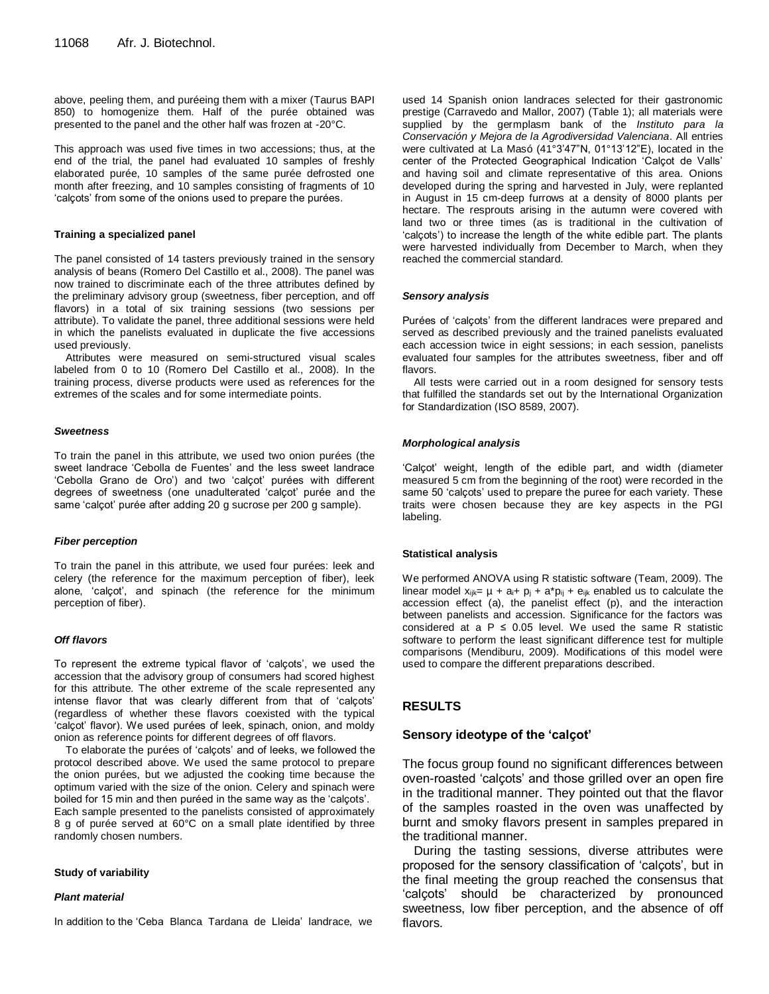above, peeling them, and puréeing them with a mixer (Taurus BAPI 850) to homogenize them. Half of the purée obtained was presented to the panel and the other half was frozen at -20°C.

This approach was used five times in two accessions; thus, at the end of the trial, the panel had evaluated 10 samples of freshly elaborated purée, 10 samples of the same purée defrosted one month after freezing, and 10 samples consisting of fragments of 10 'calçots' from some of the onions used to prepare the purées.

#### **Training a specialized panel**

The panel consisted of 14 tasters previously trained in the sensory analysis of beans (Romero Del Castillo et al., 2008). The panel was now trained to discriminate each of the three attributes defined by the preliminary advisory group (sweetness, fiber perception, and off flavors) in a total of six training sessions (two sessions per attribute). To validate the panel, three additional sessions were held in which the panelists evaluated in duplicate the five accessions used previously.

Attributes were measured on semi-structured visual scales labeled from 0 to 10 (Romero Del Castillo et al., 2008). In the training process, diverse products were used as references for the extremes of the scales and for some intermediate points.

#### *Sweetness*

To train the panel in this attribute, we used two onion purées (the sweet landrace 'Cebolla de Fuentes' and the less sweet landrace 'Cebolla Grano de Oro') and two 'calçot' purées with different degrees of sweetness (one unadulterated 'calçot' purée and the same 'calçot' purée after adding 20 g sucrose per 200 g sample).

#### *Fiber perception*

To train the panel in this attribute, we used four purées: leek and celery (the reference for the maximum perception of fiber), leek alone, 'calçot', and spinach (the reference for the minimum perception of fiber).

## *Off flavors*

To represent the extreme typical flavor of 'calçots', we used the accession that the advisory group of consumers had scored highest for this attribute. The other extreme of the scale represented any intense flavor that was clearly different from that of 'calçots' (regardless of whether these flavors coexisted with the typical 'calçot' flavor). We used purées of leek, spinach, onion, and moldy onion as reference points for different degrees of off flavors.

To elaborate the purées of 'calçots' and of leeks, we followed the protocol described above. We used the same protocol to prepare the onion purées, but we adjusted the cooking time because the optimum varied with the size of the onion. Celery and spinach were boiled for 15 min and then puréed in the same way as the 'calçots'. Each sample presented to the panelists consisted of approximately 8 g of purée served at 60°C on a small plate identified by three randomly chosen numbers.

#### **Study of variability**

#### *Plant material*

In addition to the 'Ceba Blanca Tardana de Lleida' landrace, we

used 14 Spanish onion landraces selected for their gastronomic prestige (Carravedo and Mallor, 2007) (Table 1); all materials were supplied by the germplasm bank of the *Instituto para la Conservación y Mejora de la Agrodiversidad Valenciana*. All entries were cultivated at La Masó (41°3'47"N, 01°13'12"E), located in the center of the Protected Geographical Indication 'Calçot de Valls' and having soil and climate representative of this area. Onions developed during the spring and harvested in July, were replanted in August in 15 cm-deep furrows at a density of 8000 plants per hectare. The resprouts arising in the autumn were covered with land two or three times (as is traditional in the cultivation of 'calçots') to increase the length of the white edible part. The plants were harvested individually from December to March, when they reached the commercial standard.

## *Sensory analysis*

Purées of 'calçots' from the different landraces were prepared and served as described previously and the trained panelists evaluated each accession twice in eight sessions; in each session, panelists evaluated four samples for the attributes sweetness, fiber and off flavors.

All tests were carried out in a room designed for sensory tests that fulfilled the standards set out by the International Organization for Standardization (ISO 8589, 2007).

#### *Morphological analysis*

'Calçot' weight, length of the edible part, and width (diameter measured 5 cm from the beginning of the root) were recorded in the same 50 'calçots' used to prepare the puree for each variety. These traits were chosen because they are key aspects in the PGI labeling.

#### **Statistical analysis**

We performed ANOVA using R statistic software (Team, 2009). The linear model  $x_{ijk} = \mu + a_{i} + p_{j} + a^{*}p_{ij} + e_{ijk}$  enabled us to calculate the accession effect (a), the panelist effect (p), and the interaction between panelists and accession. Significance for the factors was considered at a  $P \le 0.05$  level. We used the same R statistic software to perform the least significant difference test for multiple comparisons (Mendiburu, 2009). Modifications of this model were used to compare the different preparations described.

## **RESULTS**

### **Sensory ideotype of the 'calçot'**

The focus group found no significant differences between oven-roasted 'calçots' and those grilled over an open fire in the traditional manner. They pointed out that the flavor of the samples roasted in the oven was unaffected by burnt and smoky flavors present in samples prepared in the traditional manner.

During the tasting sessions, diverse attributes were proposed for the sensory classification of 'calçots', but in the final meeting the group reached the consensus that 'calçots' should be characterized by pronounced sweetness, low fiber perception, and the absence of off flavors.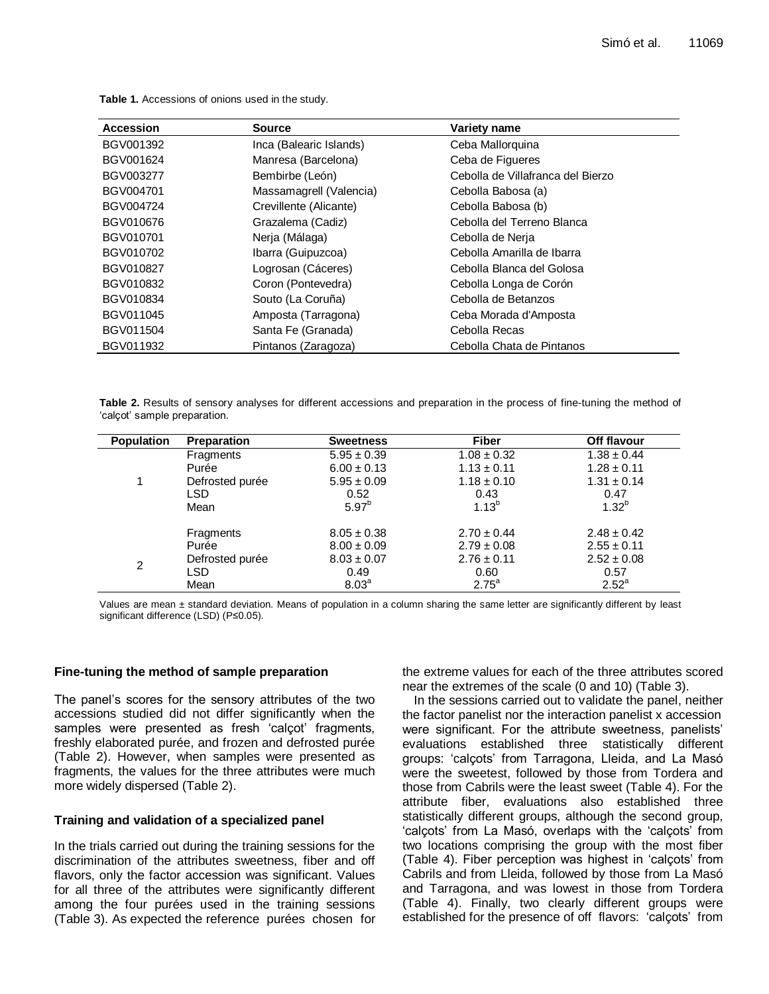| <b>Accession</b> | <b>Source</b>           | Variety name                      |
|------------------|-------------------------|-----------------------------------|
| BGV001392        | Inca (Balearic Islands) | Ceba Mallorquina                  |
| BGV001624        | Manresa (Barcelona)     | Ceba de Figueres                  |
| BGV003277        | Bembirbe (León)         | Cebolla de Villafranca del Bierzo |
| BGV004701        | Massamagrell (Valencia) | Cebolla Babosa (a)                |
| BGV004724        | Crevillente (Alicante)  | Cebolla Babosa (b)                |
| BGV010676        | Grazalema (Cadiz)       | Cebolla del Terreno Blanca        |
| BGV010701        | Nerja (Málaga)          | Cebolla de Nerja                  |
| BGV010702        | Ibarra (Guipuzcoa)      | Cebolla Amarilla de Ibarra        |
| BGV010827        | Logrosan (Cáceres)      | Cebolla Blanca del Golosa         |
| BGV010832        | Coron (Pontevedra)      | Cebolla Longa de Corón            |
| BGV010834        | Souto (La Coruña)       | Cebolla de Betanzos               |
| BGV011045        | Amposta (Tarragona)     | Ceba Morada d'Amposta             |
| BGV011504        | Santa Fe (Granada)      | Cebolla Recas                     |
| BGV011932        | Pintanos (Zaragoza)     | Cebolla Chata de Pintanos         |

**Table 1.** Accessions of onions used in the study.

**Table 2.** Results of sensory analyses for different accessions and preparation in the process of fine-tuning the method of 'calçot' sample preparation.

| <b>Population</b> | <b>Preparation</b> | <b>Sweetness</b>  | <b>Fiber</b>    | Off flavour     |
|-------------------|--------------------|-------------------|-----------------|-----------------|
|                   | Fragments          | $5.95 \pm 0.39$   | $1.08 \pm 0.32$ | $1.38 \pm 0.44$ |
| 1                 | Purée              | $6.00 \pm 0.13$   | $1.13 \pm 0.11$ | $1.28 \pm 0.11$ |
|                   | Defrosted purée    | $5.95 \pm 0.09$   | $1.18 \pm 0.10$ | $1.31 \pm 0.14$ |
|                   | <b>LSD</b>         | 0.52              | 0.43            | 0.47            |
|                   | Mean               | $5.97^{b}$        | $1.13^{b}$      | $1.32^{b}$      |
|                   | Fragments          | $8.05 \pm 0.38$   | $2.70 \pm 0.44$ | $2.48 \pm 0.42$ |
|                   | Purée              | $8.00 \pm 0.09$   | $2.79 \pm 0.08$ | $2.55 \pm 0.11$ |
| 2                 | Defrosted purée    | $8.03 \pm 0.07$   | $2.76 \pm 0.11$ | $2.52 \pm 0.08$ |
|                   | LSD                | 0.49              | 0.60            | 0.57            |
|                   | Mean               | 8.03 <sup>a</sup> | $2.75^a$        | $2.52^a$        |

Values are mean ± standard deviation. Means of population in a column sharing the same letter are significantly different by least significant difference (LSD) (P≤0.05).

## **Fine-tuning the method of sample preparation**

The panel's scores for the sensory attributes of the two accessions studied did not differ significantly when the samples were presented as fresh 'calçot' fragments, freshly elaborated purée, and frozen and defrosted purée (Table 2). However, when samples were presented as fragments, the values for the three attributes were much more widely dispersed (Table 2).

## **Training and validation of a specialized panel**

In the trials carried out during the training sessions for the discrimination of the attributes sweetness, fiber and off flavors, only the factor accession was significant. Values for all three of the attributes were significantly different among the four purées used in the training sessions (Table 3). As expected the reference purées chosen for the extreme values for each of the three attributes scored near the extremes of the scale (0 and 10) (Table 3).

In the sessions carried out to validate the panel, neither the factor panelist nor the interaction panelist x accession were significant. For the attribute sweetness, panelists' evaluations established three statistically different groups: 'calçots' from Tarragona, Lleida, and La Masó were the sweetest, followed by those from Tordera and those from Cabrils were the least sweet (Table 4). For the attribute fiber, evaluations also established three statistically different groups, although the second group, 'calçots' from La Masó, overlaps with the 'calçots' from two locations comprising the group with the most fiber (Table 4). Fiber perception was highest in 'calçots' from Cabrils and from Lleida, followed by those from La Masó and Tarragona, and was lowest in those from Tordera (Table 4). Finally, two clearly different groups were established for the presence of off flavors: 'calçots' from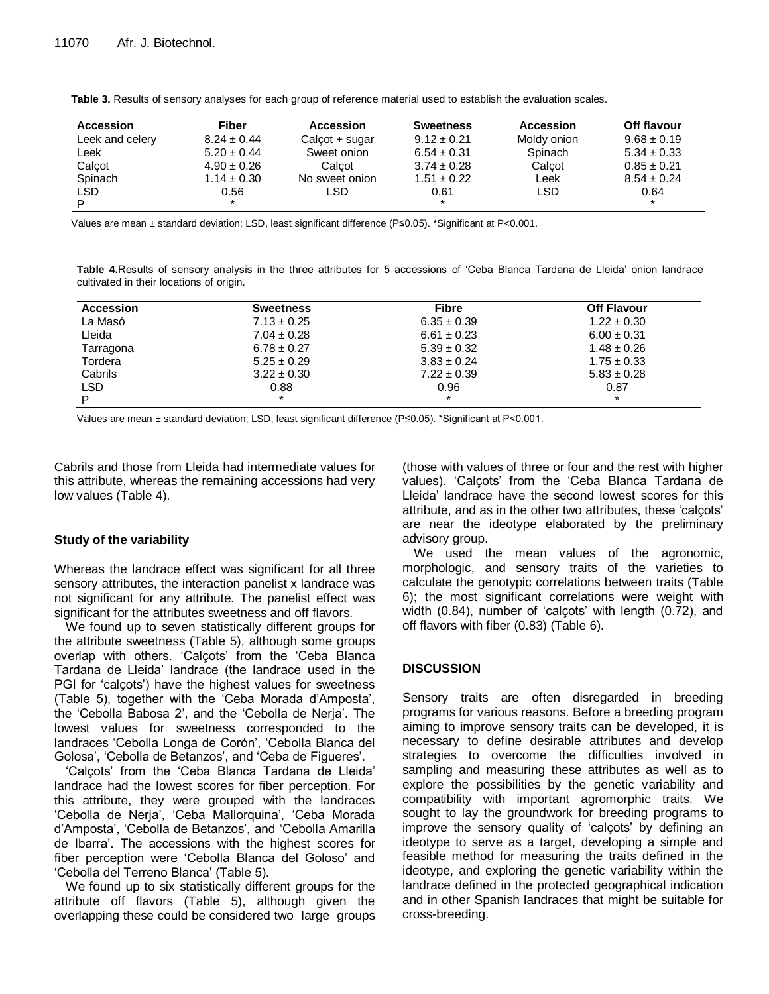| Accession       | Fiber           | Accession        | <b>Sweetness</b> | Accession   | Off flavour     |
|-----------------|-----------------|------------------|------------------|-------------|-----------------|
| Leek and celery | $8.24 \pm 0.44$ | $Calcot + sugar$ | $9.12 \pm 0.21$  | Moldy onion | $9.68 \pm 0.19$ |
| Leek            | $5.20 \pm 0.44$ | Sweet onion      | $6.54 \pm 0.31$  | Spinach     | $5.34 \pm 0.33$ |
| Calcot          | $4.90 \pm 0.26$ | Calcot           | $3.74 \pm 0.28$  | Calcot      | $0.85 \pm 0.21$ |
| Spinach         | $1.14 \pm 0.30$ | No sweet onion   | $1.51 \pm 0.22$  | Leek        | $8.54 \pm 0.24$ |
| <b>LSD</b>      | 0.56            | LSD              | 0.61             | <b>LSD</b>  | 0.64            |
| P               | $\star$         |                  | $\star$          |             | $\star$         |

**Table 3.** Results of sensory analyses for each group of reference material used to establish the evaluation scales.

Values are mean ± standard deviation; LSD, least significant difference (P≤0.05). \*Significant at P<0.001.

**Table 4.**Results of sensory analysis in the three attributes for 5 accessions of 'Ceba Blanca Tardana de Lleida' onion landrace cultivated in their locations of origin.

| Accession | <b>Sweetness</b> | Fibre           | <b>Off Flavour</b> |
|-----------|------------------|-----------------|--------------------|
| La Masó   | $7.13 \pm 0.25$  | $6.35 \pm 0.39$ | $1.22 \pm 0.30$    |
| Lleida    | $7.04 \pm 0.28$  | $6.61 \pm 0.23$ | $6.00 \pm 0.31$    |
| Tarragona | $6.78 \pm 0.27$  | $5.39 \pm 0.32$ | $1.48 \pm 0.26$    |
| Tordera   | $5.25 \pm 0.29$  | $3.83 \pm 0.24$ | $1.75 \pm 0.33$    |
| Cabrils   | $3.22 \pm 0.30$  | $7.22 \pm 0.39$ | $5.83 \pm 0.28$    |
| LSD       | 0.88             | 0.96            | 0.87               |
| D         | $\star$          | $\star$         | $\star$            |

Values are mean ± standard deviation; LSD, least significant difference (P≤0.05). \*Significant at P<0.001.

Cabrils and those from Lleida had intermediate values for this attribute, whereas the remaining accessions had very low values (Table 4).

## **Study of the variability**

Whereas the landrace effect was significant for all three sensory attributes, the interaction panelist x landrace was not significant for any attribute. The panelist effect was significant for the attributes sweetness and off flavors.

We found up to seven statistically different groups for the attribute sweetness (Table 5), although some groups overlap with others. 'Calçots' from the 'Ceba Blanca Tardana de Lleida' landrace (the landrace used in the PGI for 'calçots') have the highest values for sweetness (Table 5), together with the 'Ceba Morada d'Amposta', the 'Cebolla Babosa 2', and the 'Cebolla de Nerja'. The lowest values for sweetness corresponded to the landraces 'Cebolla Longa de Corón', 'Cebolla Blanca del Golosa', 'Cebolla de Betanzos', and 'Ceba de Figueres'.

'Calçots' from the 'Ceba Blanca Tardana de Lleida' landrace had the lowest scores for fiber perception. For this attribute, they were grouped with the landraces 'Cebolla de Nerja', 'Ceba Mallorquina', 'Ceba Morada d'Amposta', 'Cebolla de Betanzos', and 'Cebolla Amarilla de Ibarra'. The accessions with the highest scores for fiber perception were 'Cebolla Blanca del Goloso' and 'Cebolla del Terreno Blanca' (Table 5).

We found up to six statistically different groups for the attribute off flavors (Table 5), although given the overlapping these could be considered two large groups (those with values of three or four and the rest with higher values). 'Calçots' from the 'Ceba Blanca Tardana de Lleida' landrace have the second lowest scores for this attribute, and as in the other two attributes, these 'calçots' are near the ideotype elaborated by the preliminary advisory group.

We used the mean values of the agronomic, morphologic, and sensory traits of the varieties to calculate the genotypic correlations between traits (Table 6); the most significant correlations were weight with width (0.84), number of 'calçots' with length (0.72), and off flavors with fiber (0.83) (Table 6).

## **DISCUSSION**

Sensory traits are often disregarded in breeding programs for various reasons. Before a breeding program aiming to improve sensory traits can be developed, it is necessary to define desirable attributes and develop strategies to overcome the difficulties involved in sampling and measuring these attributes as well as to explore the possibilities by the genetic variability and compatibility with important agromorphic traits. We sought to lay the groundwork for breeding programs to improve the sensory quality of 'calçots' by defining an ideotype to serve as a target, developing a simple and feasible method for measuring the traits defined in the ideotype, and exploring the genetic variability within the landrace defined in the protected geographical indication and in other Spanish landraces that might be suitable for cross-breeding.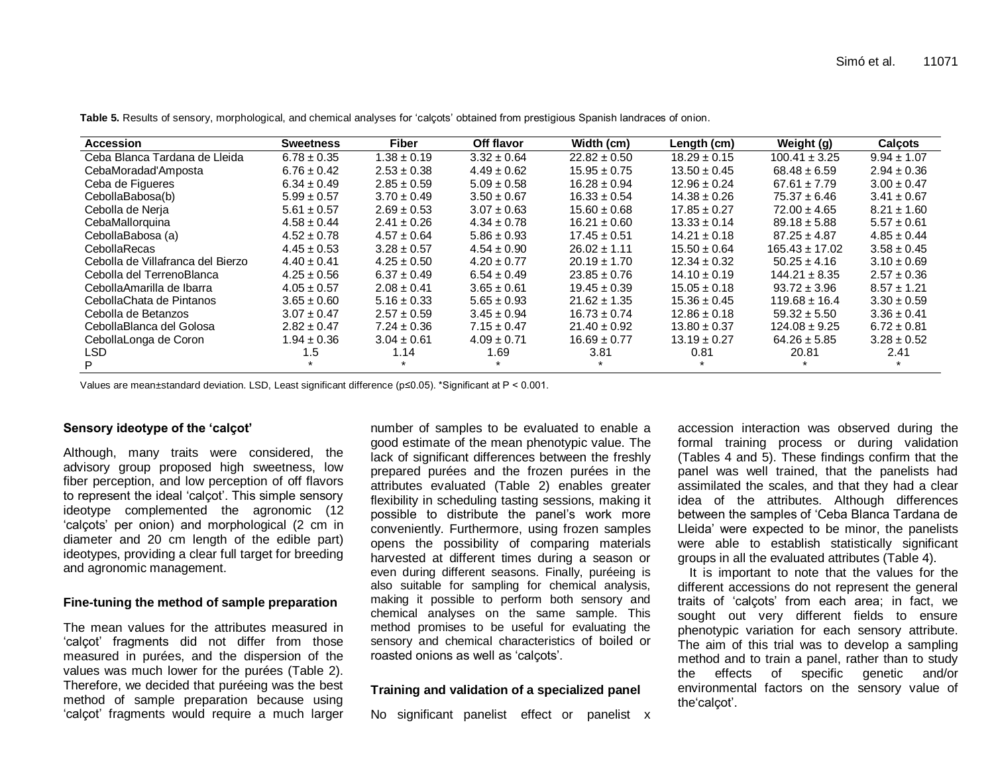| Accession                         | <b>Sweetness</b> | <b>Fiber</b>    | Off flavor      | Width (cm)       | Length (cm)      | Weight (g)         | <b>Calcots</b>  |
|-----------------------------------|------------------|-----------------|-----------------|------------------|------------------|--------------------|-----------------|
| Ceba Blanca Tardana de Lleida     | $6.78 \pm 0.35$  | $1.38 \pm 0.19$ | $3.32 \pm 0.64$ | $22.82 \pm 0.50$ | $18.29 \pm 0.15$ | $100.41 \pm 3.25$  | $9.94 \pm 1.07$ |
| CebaMoradad'Amposta               | $6.76 \pm 0.42$  | $2.53 \pm 0.38$ | $4.49 \pm 0.62$ | $15.95 \pm 0.75$ | $13.50 \pm 0.45$ | $68.48 \pm 6.59$   | $2.94 \pm 0.36$ |
| Ceba de Figueres                  | $6.34 \pm 0.49$  | $2.85 \pm 0.59$ | $5.09 \pm 0.58$ | $16.28 \pm 0.94$ | $12.96 \pm 0.24$ | $67.61 \pm 7.79$   | $3.00 \pm 0.47$ |
| CebollaBabosa(b)                  | $5.99 \pm 0.57$  | $3.70 \pm 0.49$ | $3.50 \pm 0.67$ | $16.33 \pm 0.54$ | $14.38 \pm 0.26$ | $75.37 \pm 6.46$   | $3.41 \pm 0.67$ |
| Cebolla de Nerja                  | $5.61 \pm 0.57$  | $2.69 \pm 0.53$ | $3.07 \pm 0.63$ | $15.60 \pm 0.68$ | $17.85 \pm 0.27$ | $72.00 \pm 4.65$   | $8.21 \pm 1.60$ |
| CebaMallorquina                   | $4.58 \pm 0.44$  | $2.41 \pm 0.26$ | $4.34 \pm 0.78$ | $16.21 \pm 0.60$ | $13.33 \pm 0.14$ | $89.18 \pm 5.88$   | $5.57 \pm 0.61$ |
| CebollaBabosa (a)                 | $4.52 \pm 0.78$  | $4.57 \pm 0.64$ | $5.86 \pm 0.93$ | $17.45 \pm 0.51$ | $14.21 \pm 0.18$ | $87.25 \pm 4.87$   | $4.85 \pm 0.44$ |
| <b>CebollaRecas</b>               | $4.45 \pm 0.53$  | $3.28 \pm 0.57$ | $4.54 \pm 0.90$ | $26.02 \pm 1.11$ | $15.50 \pm 0.64$ | $165.43 \pm 17.02$ | $3.58 \pm 0.45$ |
| Cebolla de Villafranca del Bierzo | $4.40 \pm 0.41$  | $4.25 \pm 0.50$ | $4.20 \pm 0.77$ | $20.19 \pm 1.70$ | $12.34 \pm 0.32$ | $50.25 \pm 4.16$   | $3.10 \pm 0.69$ |
| Cebolla del TerrenoBlanca         | $4.25 \pm 0.56$  | $6.37 \pm 0.49$ | $6.54 \pm 0.49$ | $23.85 \pm 0.76$ | $14.10 \pm 0.19$ | $144.21 \pm 8.35$  | $2.57 \pm 0.36$ |
| CebollaAmarilla de Ibarra         | $4.05 \pm 0.57$  | $2.08 \pm 0.41$ | $3.65 \pm 0.61$ | $19.45 \pm 0.39$ | $15.05 \pm 0.18$ | $93.72 \pm 3.96$   | $8.57 \pm 1.21$ |
| CebollaChata de Pintanos          | $3.65 \pm 0.60$  | $5.16 \pm 0.33$ | $5.65 \pm 0.93$ | $21.62 \pm 1.35$ | $15.36 \pm 0.45$ | $119.68 \pm 16.4$  | $3.30 \pm 0.59$ |
| Cebolla de Betanzos               | $3.07 \pm 0.47$  | $2.57 \pm 0.59$ | $3.45 \pm 0.94$ | $16.73 \pm 0.74$ | $12.86 \pm 0.18$ | $59.32 \pm 5.50$   | $3.36 \pm 0.41$ |
| CebollaBlanca del Golosa          | $2.82 \pm 0.47$  | $7.24 \pm 0.36$ | $7.15 \pm 0.47$ | $21.40 \pm 0.92$ | $13.80 \pm 0.37$ | $124.08 \pm 9.25$  | $6.72 \pm 0.81$ |
| CebollaLonga de Coron             | $1.94 \pm 0.36$  | $3.04 \pm 0.61$ | $4.09 \pm 0.71$ | $16.69 \pm 0.77$ | $13.19 \pm 0.27$ | $64.26 \pm 5.85$   | $3.28 \pm 0.52$ |
| LSD.                              | l.5              | 1.14            | 1.69            | 3.81             | 0.81             | 20.81              | 2.41            |
|                                   |                  |                 |                 |                  |                  |                    |                 |

**Table 5.** Results of sensory, morphological, and chemical analyses for 'calçots' obtained from prestigious Spanish landraces of onion.

Values are mean±standard deviation. LSD, Least significant difference (p≤0.05). \*Significant at P < 0.001.

## **Sensory ideotype of the 'calçot'**

Although, many traits were considered, the advisory group proposed high sweetness, low fiber perception, and low perception of off flavors to represent the ideal 'calçot'. This simple sensory ideotype complemented the agronomic (12 'calçots' per onion) and morphological (2 cm in diameter and 20 cm length of the edible part) ideotypes, providing a clear full target for breeding and agronomic management.

## **Fine-tuning the method of sample preparation**

The mean values for the attributes measured in 'calçot' fragments did not differ from those measured in purées, and the dispersion of the values was much lower for the purées (Table 2). Therefore, we decided that puréeing was the best method of sample preparation because using 'calçot' fragments would require a much larger number of samples to be evaluated to enable a good estimate of the mean phenotypic value. The lack of significant differences between the freshly prepared purées and the frozen purées in the attributes evaluated (Table 2) enables greater flexibility in scheduling tasting sessions, making it possible to distribute the panel's work more conveniently. Furthermore, using frozen samples opens the possibility of comparing materials harvested at different times during a season or even during different seasons. Finally, puréeing is also suitable for sampling for chemical analysis, making it possible to perform both sensory and chemical analyses on the same sample. This method promises to be useful for evaluating the sensory and chemical characteristics of boiled or roasted onions as well as 'calçots'.

## **Training and validation of a specialized panel**

No significant panelist effect or panelist x

accession interaction was observed during the formal training process or during validation (Tables 4 and 5). These findings confirm that the panel was well trained, that the panelists had assimilated the scales, and that they had a clear idea of the attributes. Although differences between the samples of 'Ceba Blanca Tardana de Lleida' were expected to be minor, the panelists were able to establish statistically significant groups in all the evaluated attributes (Table 4).

It is important to note that the values for the different accessions do not represent the general traits of 'calçots' from each area; in fact, we sought out very different fields to ensure phenotypic variation for each sensory attribute. The aim of this trial was to develop a sampling method and to train a panel, rather than to study the effects of specific genetic and/or environmental factors on the sensory value of the'calçot'.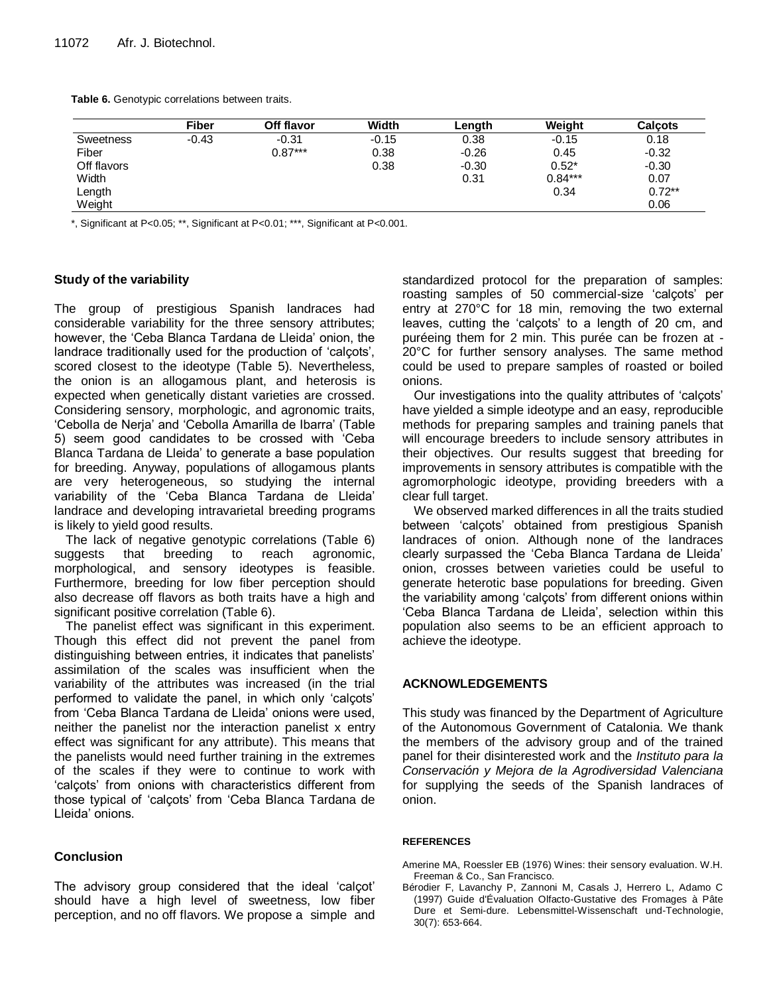**Table 6.** Genotypic correlations between traits.

|                  | <b>Fiber</b> | Off flavor | Width   | Lenath  | Weiaht    | <b>Calcots</b> |
|------------------|--------------|------------|---------|---------|-----------|----------------|
| <b>Sweetness</b> | $-0.43$      | $-0.31$    | $-0.15$ | 0.38    | $-0.15$   | 0.18           |
| Fiber            |              | $0.87***$  | 0.38    | $-0.26$ | 0.45      | $-0.32$        |
| Off flavors      |              |            | 0.38    | $-0.30$ | $0.52*$   | $-0.30$        |
| Width            |              |            |         | 0.31    | $0.84***$ | 0.07           |
| Length           |              |            |         |         | 0.34      | $0.72**$       |
| Weight           |              |            |         |         |           | 0.06           |

\*, Significant at P<0.05; \*\*, Significant at P<0.01; \*\*\*, Significant at P<0.001.

## **Study of the variability**

The group of prestigious Spanish landraces had considerable variability for the three sensory attributes; however, the 'Ceba Blanca Tardana de Lleida' onion, the landrace traditionally used for the production of 'calçots', scored closest to the ideotype (Table 5). Nevertheless, the onion is an allogamous plant, and heterosis is expected when genetically distant varieties are crossed. Considering sensory, morphologic, and agronomic traits, 'Cebolla de Nerja' and 'Cebolla Amarilla de Ibarra' (Table 5) seem good candidates to be crossed with 'Ceba Blanca Tardana de Lleida' to generate a base population for breeding. Anyway, populations of allogamous plants are very heterogeneous, so studying the internal variability of the 'Ceba Blanca Tardana de Lleida' landrace and developing intravarietal breeding programs is likely to yield good results.

The lack of negative genotypic correlations (Table 6) suggests that breeding to reach agronomic, morphological, and sensory ideotypes is feasible. Furthermore, breeding for low fiber perception should also decrease off flavors as both traits have a high and significant positive correlation (Table 6).

The panelist effect was significant in this experiment. Though this effect did not prevent the panel from distinguishing between entries, it indicates that panelists' assimilation of the scales was insufficient when the variability of the attributes was increased (in the trial performed to validate the panel, in which only 'calçots' from 'Ceba Blanca Tardana de Lleida' onions were used, neither the panelist nor the interaction panelist x entry effect was significant for any attribute). This means that the panelists would need further training in the extremes of the scales if they were to continue to work with 'calçots' from onions with characteristics different from those typical of 'calçots' from 'Ceba Blanca Tardana de Lleida' onions.

## **Conclusion**

The advisory group considered that the ideal 'calçot' should have a high level of sweetness, low fiber perception, and no off flavors. We propose a simple and standardized protocol for the preparation of samples: roasting samples of 50 commercial-size 'calçots' per entry at 270°C for 18 min, removing the two external leaves, cutting the 'calçots' to a length of 20 cm, and puréeing them for 2 min. This purée can be frozen at - 20°C for further sensory analyses. The same method could be used to prepare samples of roasted or boiled onions.

Our investigations into the quality attributes of 'calçots' have yielded a simple ideotype and an easy, reproducible methods for preparing samples and training panels that will encourage breeders to include sensory attributes in their objectives. Our results suggest that breeding for improvements in sensory attributes is compatible with the agromorphologic ideotype, providing breeders with a clear full target.

We observed marked differences in all the traits studied between 'calçots' obtained from prestigious Spanish landraces of onion. Although none of the landraces clearly surpassed the 'Ceba Blanca Tardana de Lleida' onion, crosses between varieties could be useful to generate heterotic base populations for breeding. Given the variability among 'calçots' from different onions within 'Ceba Blanca Tardana de Lleida', selection within this population also seems to be an efficient approach to achieve the ideotype.

## **ACKNOWLEDGEMENTS**

This study was financed by the Department of Agriculture of the Autonomous Government of Catalonia. We thank the members of the advisory group and of the trained panel for their disinterested work and the *Instituto para la Conservación y Mejora de la Agrodiversidad Valenciana* for supplying the seeds of the Spanish landraces of onion.

## **REFERENCES**

- Amerine MA, Roessler EB (1976) Wines: their sensory evaluation. W.H. Freeman & Co., San Francisco.
- Bérodier F, Lavanchy P, Zannoni M, Casals J, Herrero L, Adamo C (1997) Guide d'Évaluation Olfacto-Gustative des Fromages à Pâte Dure et Semi-dure. Lebensmittel-Wissenschaft und-Technologie, 30(7): 653-664.